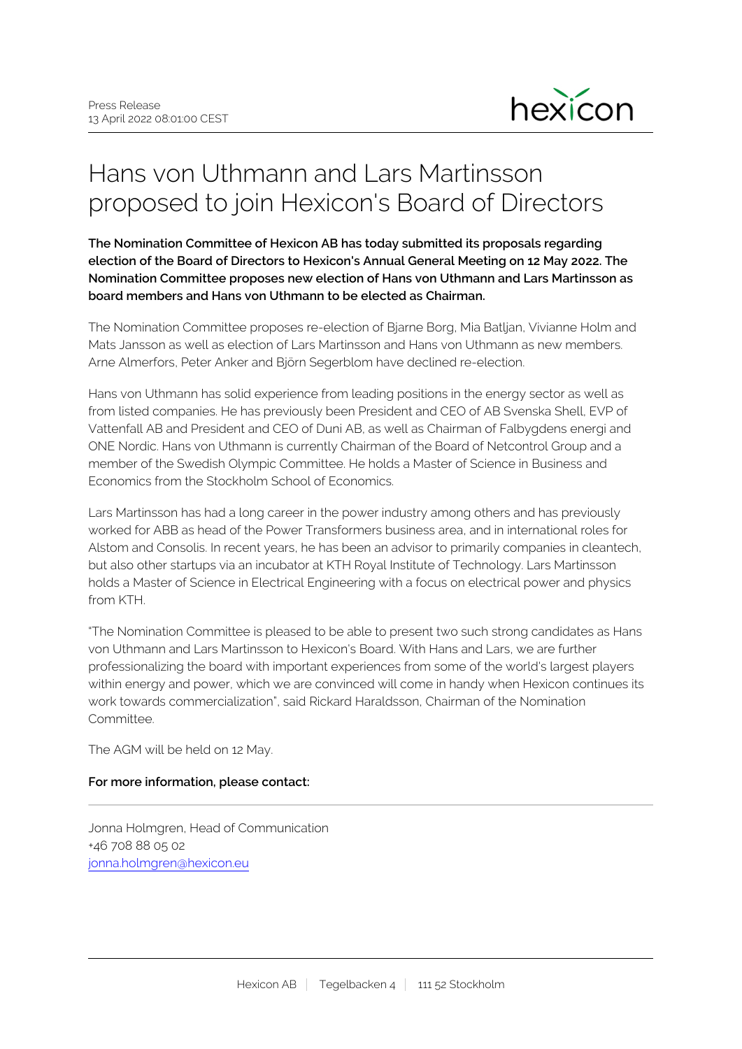

## Hans von Uthmann and Lars Martinsson proposed to join Hexicon's Board of Directors

**The Nomination Committee of Hexicon AB has today submitted its proposals regarding election of the Board of Directors to Hexicon's Annual General Meeting on 12 May 2022. The Nomination Committee proposes new election of Hans von Uthmann and Lars Martinsson as board members and Hans von Uthmann to be elected as Chairman.**

The Nomination Committee proposes re-election of Bjarne Borg, Mia Batljan, Vivianne Holm and Mats Jansson as well as election of Lars Martinsson and Hans von Uthmann as new members. Arne Almerfors, Peter Anker and Björn Segerblom have declined re-election.

Hans von Uthmann has solid experience from leading positions in the energy sector as well as from listed companies. He has previously been President and CEO of AB Svenska Shell, EVP of Vattenfall AB and President and CEO of Duni AB, as well as Chairman of Falbygdens energi and ONE Nordic. Hans von Uthmann is currently Chairman of the Board of Netcontrol Group and a member of the Swedish Olympic Committee. He holds a Master of Science in Business and Economics from the Stockholm School of Economics.

Lars Martinsson has had a long career in the power industry among others and has previously worked for ABB as head of the Power Transformers business area, and in international roles for Alstom and Consolis. In recent years, he has been an advisor to primarily companies in cleantech, but also other startups via an incubator at KTH Royal Institute of Technology. Lars Martinsson holds a Master of Science in Electrical Engineering with a focus on electrical power and physics from KTH.

"The Nomination Committee is pleased to be able to present two such strong candidates as Hans von Uthmann and Lars Martinsson to Hexicon's Board. With Hans and Lars, we are further professionalizing the board with important experiences from some of the world's largest players within energy and power, which we are convinced will come in handy when Hexicon continues its work towards commercialization", said Rickard Haraldsson, Chairman of the Nomination Committee.

The AGM will be held on 12 May.

## **For more information, please contact:**

Jonna Holmgren, Head of Communication +46 708 88 05 02 [jonna.holmgren@hexicon.eu](mailto:jonna.holmgren@hexicon.eu)